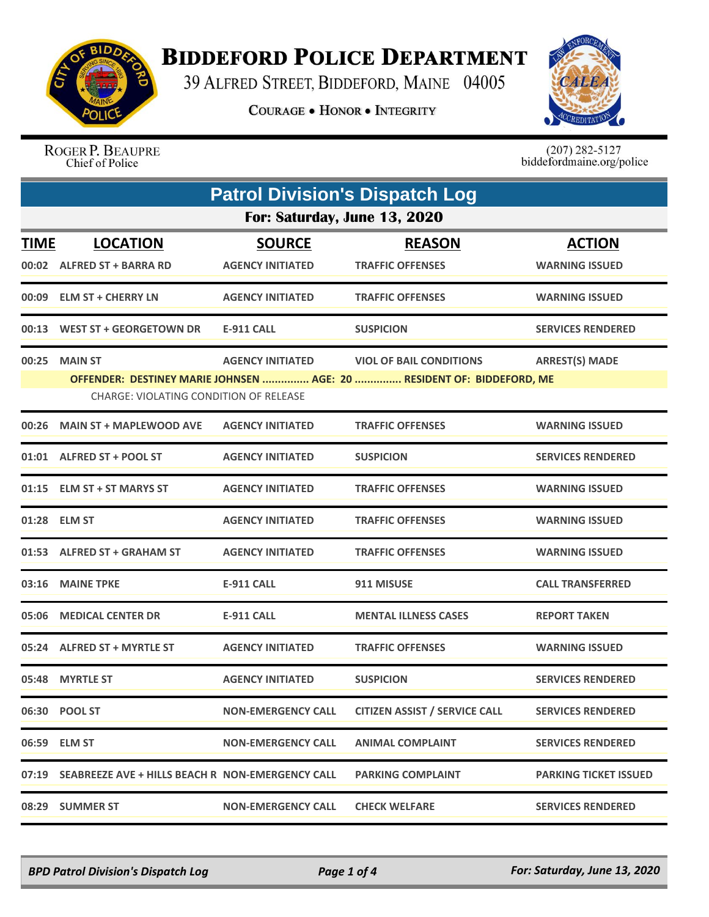

## **BIDDEFORD POLICE DEPARTMENT**

39 ALFRED STREET, BIDDEFORD, MAINE 04005

**COURAGE . HONOR . INTEGRITY** 



ROGER P. BEAUPRE Chief of Police

 $(207)$  282-5127<br>biddefordmaine.org/police

|             | <b>Patrol Division's Dispatch Log</b>                                                                           |                           |                                      |                              |  |  |
|-------------|-----------------------------------------------------------------------------------------------------------------|---------------------------|--------------------------------------|------------------------------|--|--|
|             | For: Saturday, June 13, 2020                                                                                    |                           |                                      |                              |  |  |
| <b>TIME</b> | <b>LOCATION</b>                                                                                                 | <b>SOURCE</b>             | <b>REASON</b>                        | <b>ACTION</b>                |  |  |
|             | 00:02 ALFRED ST + BARRA RD                                                                                      | <b>AGENCY INITIATED</b>   | <b>TRAFFIC OFFENSES</b>              | <b>WARNING ISSUED</b>        |  |  |
|             | 00:09 ELM ST + CHERRY LN                                                                                        | <b>AGENCY INITIATED</b>   | <b>TRAFFIC OFFENSES</b>              | <b>WARNING ISSUED</b>        |  |  |
| 00:13       | WEST ST + GEORGETOWN DR                                                                                         | <b>E-911 CALL</b>         | <b>SUSPICION</b>                     | <b>SERVICES RENDERED</b>     |  |  |
| 00:25       | <b>MAIN ST</b>                                                                                                  | <b>AGENCY INITIATED</b>   | <b>VIOL OF BAIL CONDITIONS</b>       | <b>ARREST(S) MADE</b>        |  |  |
|             | OFFENDER: DESTINEY MARIE JOHNSEN  AGE: 20  RESIDENT OF: BIDDEFORD, ME<br>CHARGE: VIOLATING CONDITION OF RELEASE |                           |                                      |                              |  |  |
| 00:26       | <b>MAIN ST + MAPLEWOOD AVE</b>                                                                                  | <b>AGENCY INITIATED</b>   | <b>TRAFFIC OFFENSES</b>              | <b>WARNING ISSUED</b>        |  |  |
|             | 01:01 ALFRED ST + POOL ST                                                                                       | <b>AGENCY INITIATED</b>   | <b>SUSPICION</b>                     | <b>SERVICES RENDERED</b>     |  |  |
| 01:15       | <b>ELM ST + ST MARYS ST</b>                                                                                     | <b>AGENCY INITIATED</b>   | <b>TRAFFIC OFFENSES</b>              | <b>WARNING ISSUED</b>        |  |  |
|             | 01:28 ELM ST                                                                                                    | <b>AGENCY INITIATED</b>   | <b>TRAFFIC OFFENSES</b>              | <b>WARNING ISSUED</b>        |  |  |
|             | 01:53 ALFRED ST + GRAHAM ST                                                                                     | <b>AGENCY INITIATED</b>   | <b>TRAFFIC OFFENSES</b>              | <b>WARNING ISSUED</b>        |  |  |
| 03:16       | <b>MAINE TPKE</b>                                                                                               | <b>E-911 CALL</b>         | 911 MISUSE                           | <b>CALL TRANSFERRED</b>      |  |  |
| 05:06       | <b>MEDICAL CENTER DR</b>                                                                                        | E-911 CALL                | <b>MENTAL ILLNESS CASES</b>          | <b>REPORT TAKEN</b>          |  |  |
|             | 05:24 ALFRED ST + MYRTLE ST                                                                                     | <b>AGENCY INITIATED</b>   | <b>TRAFFIC OFFENSES</b>              | <b>WARNING ISSUED</b>        |  |  |
|             | 05:48 MYRTLE ST                                                                                                 | <b>AGENCY INITIATED</b>   | <b>SUSPICION</b>                     | <b>SERVICES RENDERED</b>     |  |  |
|             | 06:30 POOL ST                                                                                                   | <b>NON-EMERGENCY CALL</b> | <b>CITIZEN ASSIST / SERVICE CALL</b> | <b>SERVICES RENDERED</b>     |  |  |
|             | 06:59 ELM ST                                                                                                    | <b>NON-EMERGENCY CALL</b> | <b>ANIMAL COMPLAINT</b>              | <b>SERVICES RENDERED</b>     |  |  |
|             | 07:19 SEABREEZE AVE + HILLS BEACH R NON-EMERGENCY CALL                                                          |                           | <b>PARKING COMPLAINT</b>             | <b>PARKING TICKET ISSUED</b> |  |  |
| 08:29       | <b>SUMMER ST</b>                                                                                                | <b>NON-EMERGENCY CALL</b> | <b>CHECK WELFARE</b>                 | <b>SERVICES RENDERED</b>     |  |  |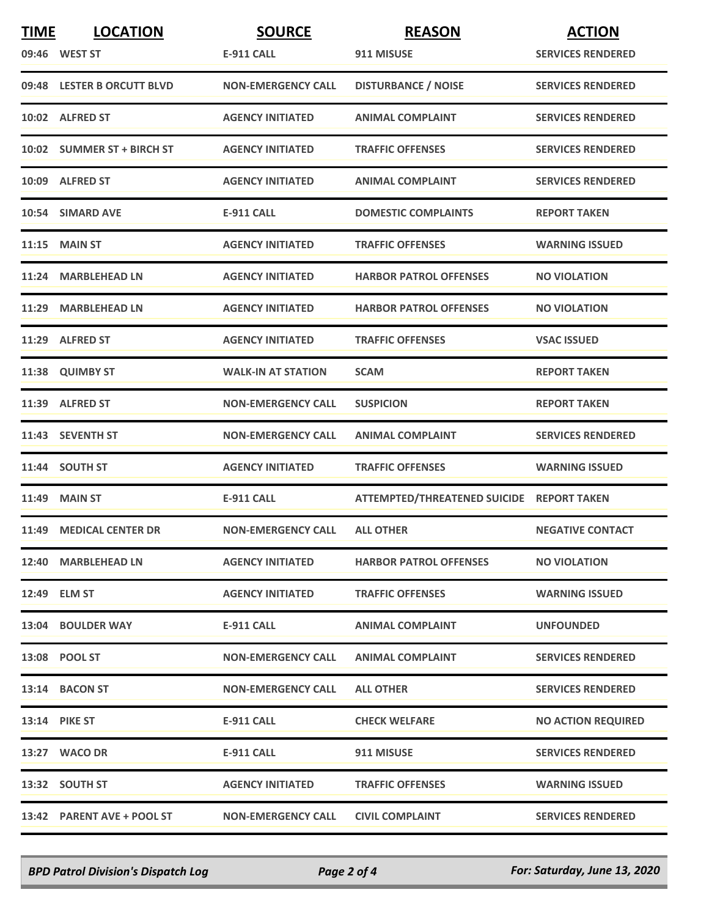| <b>TIME</b> | <b>LOCATION</b>            | <b>SOURCE</b>             | <b>REASON</b>                             | <b>ACTION</b>             |
|-------------|----------------------------|---------------------------|-------------------------------------------|---------------------------|
|             | 09:46 WEST ST              | <b>E-911 CALL</b>         | 911 MISUSE                                | <b>SERVICES RENDERED</b>  |
|             | 09:48 LESTER B ORCUTT BLVD | <b>NON-EMERGENCY CALL</b> | <b>DISTURBANCE / NOISE</b>                | <b>SERVICES RENDERED</b>  |
|             | 10:02 ALFRED ST            | <b>AGENCY INITIATED</b>   | <b>ANIMAL COMPLAINT</b>                   | <b>SERVICES RENDERED</b>  |
|             | 10:02 SUMMER ST + BIRCH ST | <b>AGENCY INITIATED</b>   | <b>TRAFFIC OFFENSES</b>                   | <b>SERVICES RENDERED</b>  |
|             | 10:09 ALFRED ST            | <b>AGENCY INITIATED</b>   | <b>ANIMAL COMPLAINT</b>                   | <b>SERVICES RENDERED</b>  |
|             | 10:54 SIMARD AVE           | <b>E-911 CALL</b>         | <b>DOMESTIC COMPLAINTS</b>                | <b>REPORT TAKEN</b>       |
|             | $11:15$ MAIN ST            | <b>AGENCY INITIATED</b>   | <b>TRAFFIC OFFENSES</b>                   | <b>WARNING ISSUED</b>     |
|             | 11:24 MARBLEHEAD LN        | <b>AGENCY INITIATED</b>   | <b>HARBOR PATROL OFFENSES</b>             | <b>NO VIOLATION</b>       |
|             | 11:29 MARBLEHEAD LN        | <b>AGENCY INITIATED</b>   | <b>HARBOR PATROL OFFENSES</b>             | <b>NO VIOLATION</b>       |
|             | 11:29 ALFRED ST            | <b>AGENCY INITIATED</b>   | <b>TRAFFIC OFFENSES</b>                   | <b>VSAC ISSUED</b>        |
|             | 11:38 QUIMBY ST            | <b>WALK-IN AT STATION</b> | <b>SCAM</b>                               | <b>REPORT TAKEN</b>       |
|             | 11:39 ALFRED ST            | <b>NON-EMERGENCY CALL</b> | <b>SUSPICION</b>                          | <b>REPORT TAKEN</b>       |
|             | 11:43 SEVENTH ST           | <b>NON-EMERGENCY CALL</b> | <b>ANIMAL COMPLAINT</b>                   | <b>SERVICES RENDERED</b>  |
|             | 11:44 SOUTH ST             | <b>AGENCY INITIATED</b>   | <b>TRAFFIC OFFENSES</b>                   | <b>WARNING ISSUED</b>     |
|             | <b>11:49 MAIN ST</b>       | <b>E-911 CALL</b>         | ATTEMPTED/THREATENED SUICIDE REPORT TAKEN |                           |
|             | 11:49 MEDICAL CENTER DR    | <b>NON-EMERGENCY CALL</b> | <b>ALL OTHER</b>                          | <b>NEGATIVE CONTACT</b>   |
|             | 12:40 MARBLEHEAD LN        | <b>AGENCY INITIATED</b>   | <b>HARBOR PATROL OFFENSES</b>             | <b>NO VIOLATION</b>       |
|             | 12:49 ELM ST               | <b>AGENCY INITIATED</b>   | <b>TRAFFIC OFFENSES</b>                   | <b>WARNING ISSUED</b>     |
|             | 13:04 BOULDER WAY          | E-911 CALL                | <b>ANIMAL COMPLAINT</b>                   | <b>UNFOUNDED</b>          |
|             | 13:08 POOL ST              | <b>NON-EMERGENCY CALL</b> | <b>ANIMAL COMPLAINT</b>                   | <b>SERVICES RENDERED</b>  |
|             | 13:14 BACON ST             | <b>NON-EMERGENCY CALL</b> | <b>ALL OTHER</b>                          | <b>SERVICES RENDERED</b>  |
|             | <b>13:14 PIKE ST</b>       | E-911 CALL                | <b>CHECK WELFARE</b>                      | <b>NO ACTION REQUIRED</b> |
|             | 13:27 WACO DR              | E-911 CALL                | 911 MISUSE                                | <b>SERVICES RENDERED</b>  |
|             | 13:32 SOUTH ST             | <b>AGENCY INITIATED</b>   | <b>TRAFFIC OFFENSES</b>                   | <b>WARNING ISSUED</b>     |
|             | 13:42 PARENT AVE + POOL ST | <b>NON-EMERGENCY CALL</b> | <b>CIVIL COMPLAINT</b>                    | <b>SERVICES RENDERED</b>  |

*BPD Patrol Division's Dispatch Log Page 2 of 4 For: Saturday, June 13, 2020*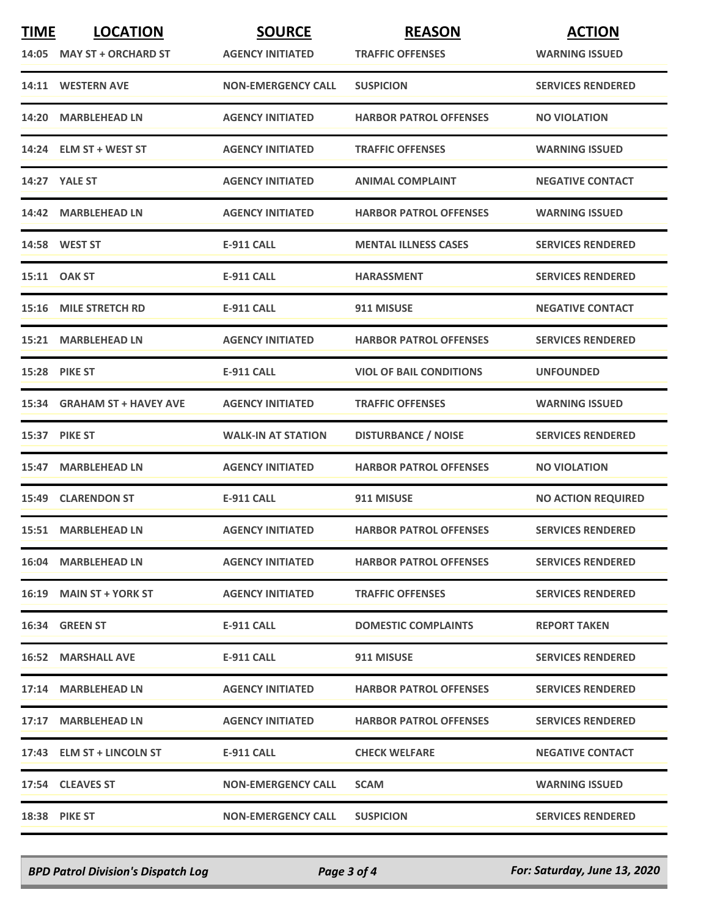| <b>TIME</b> | <b>LOCATION</b>             | <b>SOURCE</b>             | <b>REASON</b>                  | <b>ACTION</b>             |
|-------------|-----------------------------|---------------------------|--------------------------------|---------------------------|
|             | 14:05 MAY ST + ORCHARD ST   | <b>AGENCY INITIATED</b>   | <b>TRAFFIC OFFENSES</b>        | <b>WARNING ISSUED</b>     |
|             | 14:11 WESTERN AVE           | <b>NON-EMERGENCY CALL</b> | <b>SUSPICION</b>               | <b>SERVICES RENDERED</b>  |
|             | 14:20 MARBLEHEAD LN         | <b>AGENCY INITIATED</b>   | <b>HARBOR PATROL OFFENSES</b>  | <b>NO VIOLATION</b>       |
|             | 14:24 ELM ST + WEST ST      | <b>AGENCY INITIATED</b>   | <b>TRAFFIC OFFENSES</b>        | <b>WARNING ISSUED</b>     |
|             | <b>14:27 YALE ST</b>        | <b>AGENCY INITIATED</b>   | <b>ANIMAL COMPLAINT</b>        | <b>NEGATIVE CONTACT</b>   |
|             | 14:42 MARBLEHEAD LN         | <b>AGENCY INITIATED</b>   | <b>HARBOR PATROL OFFENSES</b>  | <b>WARNING ISSUED</b>     |
|             | 14:58 WEST ST               | <b>E-911 CALL</b>         | <b>MENTAL ILLNESS CASES</b>    | <b>SERVICES RENDERED</b>  |
|             | 15:11 OAK ST                | E-911 CALL                | <b>HARASSMENT</b>              | <b>SERVICES RENDERED</b>  |
|             | 15:16 MILE STRETCH RD       | <b>E-911 CALL</b>         | 911 MISUSE                     | <b>NEGATIVE CONTACT</b>   |
|             | 15:21 MARBLEHEAD LN         | <b>AGENCY INITIATED</b>   | <b>HARBOR PATROL OFFENSES</b>  | <b>SERVICES RENDERED</b>  |
|             | <b>15:28 PIKE ST</b>        | E-911 CALL                | <b>VIOL OF BAIL CONDITIONS</b> | <b>UNFOUNDED</b>          |
|             | 15:34 GRAHAM ST + HAVEY AVE | <b>AGENCY INITIATED</b>   | <b>TRAFFIC OFFENSES</b>        | <b>WARNING ISSUED</b>     |
|             | 15:37 PIKE ST               | <b>WALK-IN AT STATION</b> | <b>DISTURBANCE / NOISE</b>     | <b>SERVICES RENDERED</b>  |
|             | 15:47 MARBLEHEAD LN         | <b>AGENCY INITIATED</b>   | <b>HARBOR PATROL OFFENSES</b>  | <b>NO VIOLATION</b>       |
|             | <b>15:49 CLARENDON ST</b>   | <b>E-911 CALL</b>         | 911 MISUSE                     | <b>NO ACTION REQUIRED</b> |
|             | 15:51 MARBLEHEAD LN         | <b>AGENCY INITIATED</b>   | <b>HARBOR PATROL OFFENSES</b>  | <b>SERVICES RENDERED</b>  |
|             | 16:04 MARBLEHEAD LN         | <b>AGENCY INITIATED</b>   | <b>HARBOR PATROL OFFENSES</b>  | <b>SERVICES RENDERED</b>  |
|             | 16:19 MAIN ST + YORK ST     | <b>AGENCY INITIATED</b>   | <b>TRAFFIC OFFENSES</b>        | <b>SERVICES RENDERED</b>  |
|             | 16:34 GREEN ST              | E-911 CALL                | <b>DOMESTIC COMPLAINTS</b>     | <b>REPORT TAKEN</b>       |
|             | <b>16:52 MARSHALL AVE</b>   | E-911 CALL                | 911 MISUSE                     | <b>SERVICES RENDERED</b>  |
|             | 17:14 MARBLEHEAD LN         | <b>AGENCY INITIATED</b>   | <b>HARBOR PATROL OFFENSES</b>  | <b>SERVICES RENDERED</b>  |
|             | 17:17 MARBLEHEAD LN         | <b>AGENCY INITIATED</b>   | <b>HARBOR PATROL OFFENSES</b>  | <b>SERVICES RENDERED</b>  |
|             | 17:43 ELM ST + LINCOLN ST   | E-911 CALL                | <b>CHECK WELFARE</b>           | <b>NEGATIVE CONTACT</b>   |
|             | 17:54 CLEAVES ST            | <b>NON-EMERGENCY CALL</b> | <b>SCAM</b>                    | <b>WARNING ISSUED</b>     |
|             | 18:38 PIKE ST               | <b>NON-EMERGENCY CALL</b> | <b>SUSPICION</b>               | <b>SERVICES RENDERED</b>  |

*BPD Patrol Division's Dispatch Log Page 3 of 4 For: Saturday, June 13, 2020*